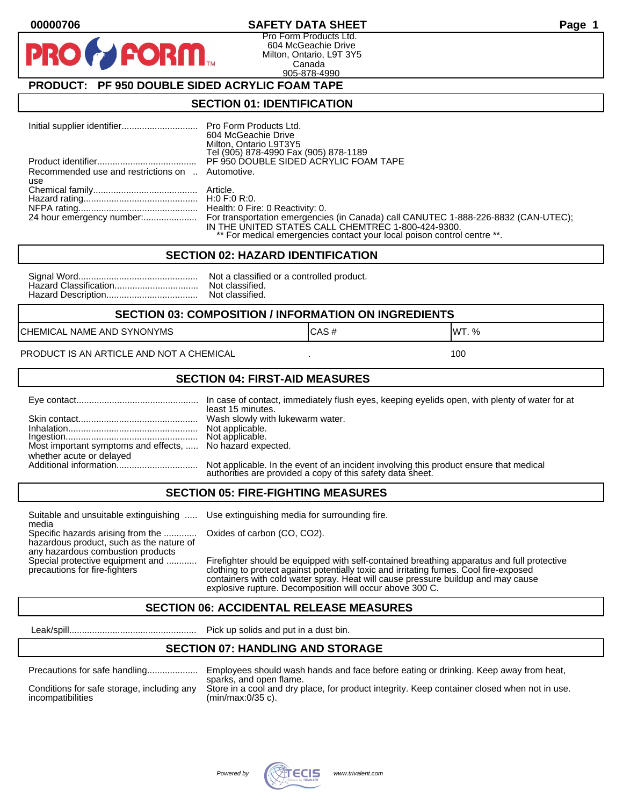#### **00000706 SAFETY DATA SHEET Page 1**

Pro Form Products Ltd. 604 McGeachie Drive Milton, Ontario, L9T 3Y5 Canada 905-878-4990

## **PRODUCT: PF 950 DOUBLE SIDED ACRYLIC FOAM TAPE**

**FORM** 

#### **SECTION 01: IDENTIFICATION**

|                                                         | 604 McGeachie Drive<br>Milton, Ontario L9T3Y5<br>Tel (905) 878-4990 Fax (905) 878-1189                                                                                                                                                        |
|---------------------------------------------------------|-----------------------------------------------------------------------------------------------------------------------------------------------------------------------------------------------------------------------------------------------|
|                                                         | PF 950 DOUBLE SIDED ACRYLIC FOAM TAPE                                                                                                                                                                                                         |
| Recommended use and restrictions on  Automotive.<br>use |                                                                                                                                                                                                                                               |
|                                                         |                                                                                                                                                                                                                                               |
|                                                         |                                                                                                                                                                                                                                               |
|                                                         | 24 hour emergency number: For transportation emergencies (in Canada) call CANUTEC 1-888-226-8832 (CAN-UTEC);<br>IN THE UNITED STATES CALL CHEMTREC 1-800-424-9300.<br>** For medical emergencies contact your local poison control centre **. |

#### **SECTION 02: HAZARD IDENTIFICATION**

| Nc             |
|----------------|
| N <sub>C</sub> |
| Nc             |

ot a classified or a controlled product. ot classified. ot classified.

#### **SECTION 03: COMPOSITION / INFORMATION ON INGREDIENTS**

CHEMICAL NAME AND SYNONYMS GAS AND CAS # CAS # WT. %

PRODUCT IS AN ARTICLE AND NOT A CHEMICAL **AND THE SET AND A SET ALL ASSAULT** 100

#### **SECTION 04: FIRST-AID MEASURES**

|                                                                                       | least 15 minutes.                                                                                                                                    |
|---------------------------------------------------------------------------------------|------------------------------------------------------------------------------------------------------------------------------------------------------|
|                                                                                       |                                                                                                                                                      |
| Most important symptoms and effects,  No hazard expected.<br>whether acute or delayed |                                                                                                                                                      |
|                                                                                       | Not applicable. In the event of an incident involving this product ensure that medical<br>authorities are provided a copy of this safety data sheet. |

#### **SECTION 05: FIRE-FIGHTING MEASURES**

Suitable and unsuitable extinguishing ..... Use extinguishing media for surrounding fire. media

Specific hazards arising from the ............. Oxides of carbon (CO, CO2). hazardous product, such as the nature of any hazardous combustion products

Special protective equipment and ............ Firefighter should be equipped with self-contained breathing apparatus and full protective<br>precautions for fire-fighters continent clothing to protect against potentially toxic clothing to protect against potentially toxic and irritating fumes. Cool fire-exposed containers with cold water spray. Heat will cause pressure buildup and may cause explosive rupture. Decomposition will occur above 300 C.

## **SECTION 06: ACCIDENTAL RELEASE MEASURES**

Leak/spill.................................................. Pick up solids and put in a dust bin.

#### **SECTION 07: HANDLING AND STORAGE**

| Precautions for safe handling |  |  |  |
|-------------------------------|--|--|--|
|                               |  |  |  |

incompatibilities (min/max:0/35 c).

Precautions for safe handling.................... Employees should wash hands and face before eating or drinking. Keep away from heat, sparks, and open flame. Conditions for safe storage, including any Store in a cool and dry place, for product integrity. Keep container closed when not in use.

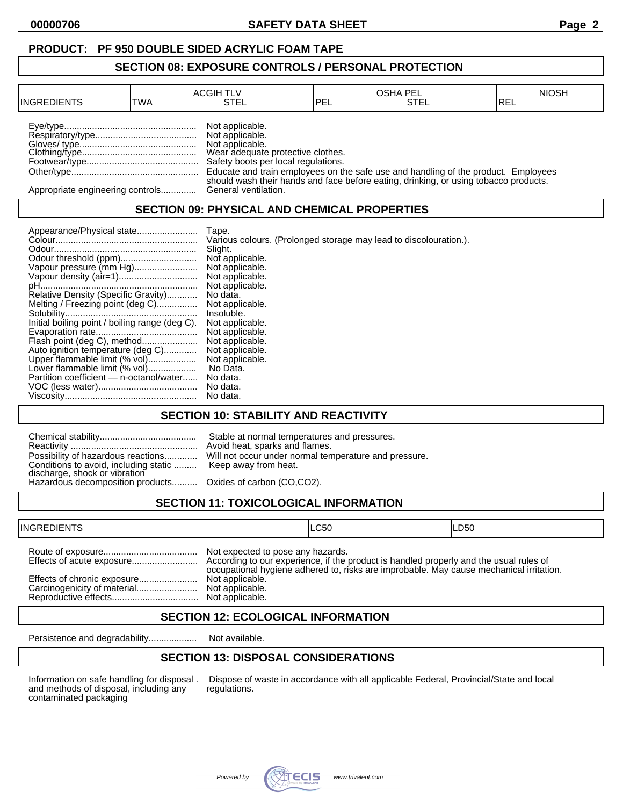## **PRODUCT: PF 950 DOUBLE SIDED ACRYLIC FOAM TAPE**

#### **SECTION 08: EXPOSURE CONTROLS / PERSONAL PROTECTION**

| <b>INGREDIENTS</b>               | TWA | <b>ACGIH TLV</b><br>STEL                                                                                                          | <b>IPEL</b> | <b>OSHA PEL</b><br><b>STEL</b>                                                       | <b>NIOSH</b><br>IREL |
|----------------------------------|-----|-----------------------------------------------------------------------------------------------------------------------------------|-------------|--------------------------------------------------------------------------------------|----------------------|
|                                  |     | Not applicable.<br>Not applicable.<br>Not applicable.<br>Wear adequate protective clothes.<br>Safety boots per local regulations. |             | Educate and train employees on the safe use and handling of the product. Employees   |                      |
| Appropriate engineering controls |     | General ventilation.                                                                                                              |             | should wash their hands and face before eating, drinking, or using tobacco products. |                      |

## **SECTION 09: PHYSICAL AND CHEMICAL PROPERTIES**

| Appearance/Physical state                      | Tape.                                                             |
|------------------------------------------------|-------------------------------------------------------------------|
|                                                | Various colours. (Prolonged storage may lead to discolouration.). |
|                                                | Slight.                                                           |
|                                                | Not applicable.                                                   |
| Vapour pressure (mm Hg)                        | Not applicable.                                                   |
|                                                | Not applicable.                                                   |
|                                                | Not applicable.                                                   |
| Relative Density (Specific Gravity)            | No data.                                                          |
| Melting / Freezing point (deg C)               | Not applicable.                                                   |
|                                                | Insoluble.                                                        |
| Initial boiling point / boiling range (deg C). | Not applicable.                                                   |
|                                                | Not applicable.                                                   |
| Flash point (deg C), method                    | Not applicable.                                                   |
| Auto ignition temperature (deg C)              | Not applicable.                                                   |
| Upper flammable limit (% vol)                  | Not applicable.                                                   |
| Lower flammable limit (% vol)                  | No Data.                                                          |
| Partition coefficient - n-octanol/water        | No data.                                                          |
|                                                | No data.                                                          |
|                                                | No data.                                                          |

### **SECTION 10: STABILITY AND REACTIVITY**

| Conditions to avoid, including static  Keep away from heat.<br>discharge, shock or vibration<br>Hazardous decomposition products Oxides of carbon (CO,CO2). | Stable at normal temperatures and pressures.<br>Avoid heat, sparks and flames.<br>Possibility of hazardous reactions Will not occur under normal temperature and pressure. |
|-------------------------------------------------------------------------------------------------------------------------------------------------------------|----------------------------------------------------------------------------------------------------------------------------------------------------------------------------|
|                                                                                                                                                             |                                                                                                                                                                            |

# **SECTION 11: TOXICOLOGICAL INFORMATION**

| <b>INGREDIENTS</b>          |                                                                         | ILC50                                                                                   | ILD50 |
|-----------------------------|-------------------------------------------------------------------------|-----------------------------------------------------------------------------------------|-------|
| Effects of chronic exposure | Not expected to pose any hazards.<br>Not applicable.<br>Not applicable. | occupational hygiene adhered to, risks are improbable. May cause mechanical irritation. |       |

### **SECTION 12: ECOLOGICAL INFORMATION**

Persistence and degradability................... Not available.

## **SECTION 13: DISPOSAL CONSIDERATIONS**

and methods of disposal, including any contaminated packaging

Information on safe handling for disposal . Dispose of waste in accordance with all applicable Federal, Provincial/State and local